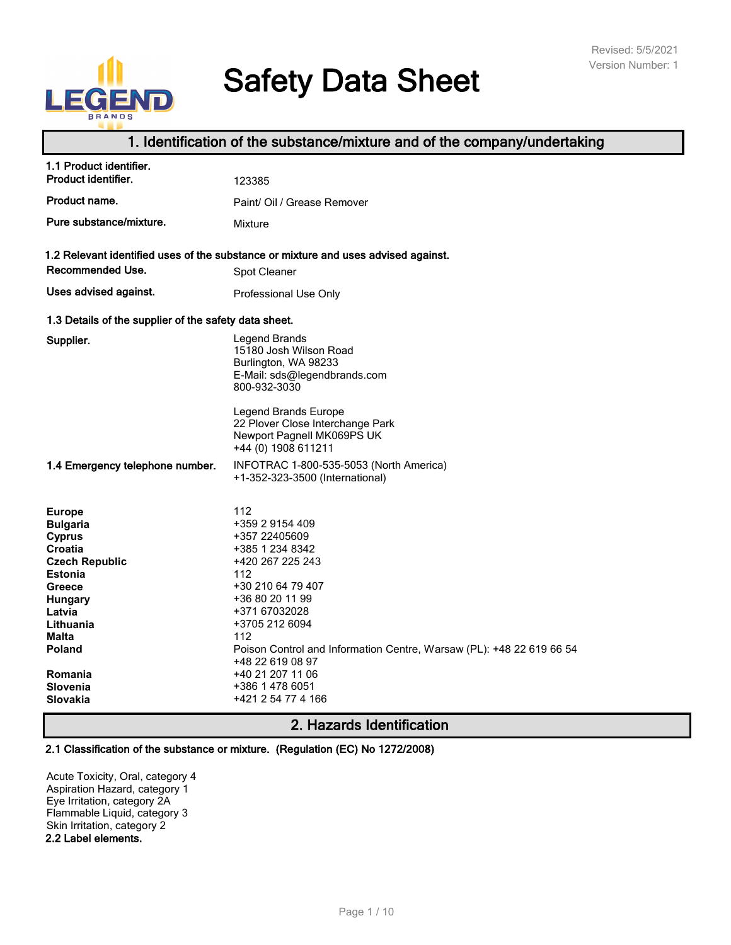# $\Box$

# **Safety Data Sheet**

# **1. Identification of the substance/mixture and of the company/undertaking**

| 1.1 Product identifier.<br>Product identifier.                                                                                                                                                                   | 123385                                                                                                                                                                                                                                                                                                                           |  |  |  |
|------------------------------------------------------------------------------------------------------------------------------------------------------------------------------------------------------------------|----------------------------------------------------------------------------------------------------------------------------------------------------------------------------------------------------------------------------------------------------------------------------------------------------------------------------------|--|--|--|
| Product name.                                                                                                                                                                                                    | Paint/ Oil / Grease Remover                                                                                                                                                                                                                                                                                                      |  |  |  |
| Pure substance/mixture.                                                                                                                                                                                          | Mixture                                                                                                                                                                                                                                                                                                                          |  |  |  |
| Recommended Use.<br>Uses advised against.                                                                                                                                                                        | 1.2 Relevant identified uses of the substance or mixture and uses advised against.<br>Spot Cleaner                                                                                                                                                                                                                               |  |  |  |
|                                                                                                                                                                                                                  | Professional Use Only                                                                                                                                                                                                                                                                                                            |  |  |  |
| 1.3 Details of the supplier of the safety data sheet.                                                                                                                                                            |                                                                                                                                                                                                                                                                                                                                  |  |  |  |
| Supplier.                                                                                                                                                                                                        | Legend Brands<br>15180 Josh Wilson Road<br>Burlington, WA 98233<br>E-Mail: sds@legendbrands.com<br>800-932-3030<br>Legend Brands Europe<br>22 Plover Close Interchange Park<br>Newport Pagnell MK069PS UK                                                                                                                        |  |  |  |
|                                                                                                                                                                                                                  | +44 (0) 1908 611211                                                                                                                                                                                                                                                                                                              |  |  |  |
| 1.4 Emergency telephone number.                                                                                                                                                                                  | INFOTRAC 1-800-535-5053 (North America)<br>+1-352-323-3500 (International)                                                                                                                                                                                                                                                       |  |  |  |
| <b>Europe</b><br><b>Bulgaria</b><br><b>Cyprus</b><br>Croatia<br><b>Czech Republic</b><br><b>Estonia</b><br>Greece<br><b>Hungary</b><br>Latvia<br>Lithuania<br>Malta<br>Poland<br>Romania<br>Slovenia<br>Slovakia | 112<br>+359 2 9154 409<br>+357 22405609<br>+385 1 234 8342<br>+420 267 225 243<br>112<br>+30 210 64 79 407<br>+36 80 20 11 99<br>+371 67032028<br>+3705 212 6094<br>112<br>Poison Control and Information Centre, Warsaw (PL): +48 22 619 66 54<br>+48 22 619 08 97<br>+40 21 207 11 06<br>+386 1 478 6051<br>+421 2 54 77 4 166 |  |  |  |

# **2. Hazards Identification**

# **2.1 Classification of the substance or mixture. (Regulation (EC) No 1272/2008)**

Acute Toxicity, Oral, category 4 Aspiration Hazard, category 1 Eye Irritation, category 2A Flammable Liquid, category 3 Skin Irritation, category 2 **2.2 Label elements.**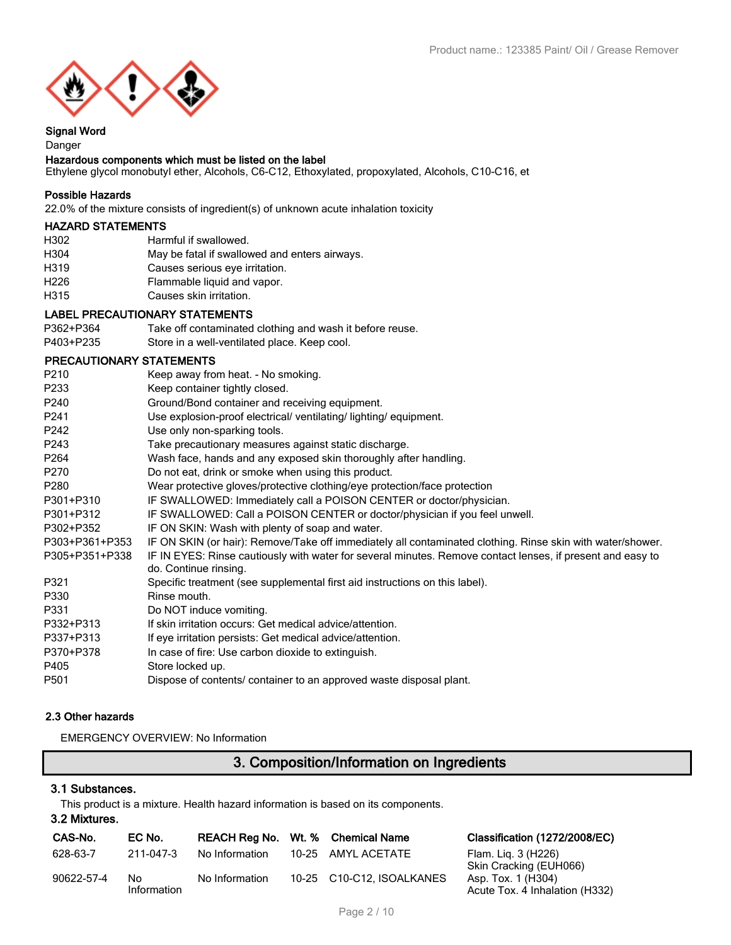

# **Signal Word**

# Danger

# **Hazardous components which must be listed on the label**

Ethylene glycol monobutyl ether, Alcohols, C6-C12, Ethoxylated, propoxylated, Alcohols, C10-C16, et

# **Possible Hazards**

22.0% of the mixture consists of ingredient(s) of unknown acute inhalation toxicity

# **HAZARD STATEMENTS**

| Harmful if swallowed.                         |
|-----------------------------------------------|
| May be fatal if swallowed and enters airways. |
| Causes serious eye irritation.                |
| Flammable liquid and vapor.                   |
| Causes skin irritation.                       |
|                                               |

# **LABEL PRECAUTIONARY STATEMENTS**

| P362+P364 | Take off contaminated clothing and wash it before reuse. |
|-----------|----------------------------------------------------------|
| P403+P235 | Store in a well-ventilated place. Keep cool.             |

# **PRECAUTIONARY STATEMENTS**

| P <sub>210</sub> | Keep away from heat. - No smoking.                                                                                                  |
|------------------|-------------------------------------------------------------------------------------------------------------------------------------|
| P233             | Keep container tightly closed.                                                                                                      |
| P240             | Ground/Bond container and receiving equipment.                                                                                      |
| P241             | Use explosion-proof electrical/ ventilating/ lighting/ equipment.                                                                   |
| P242             | Use only non-sparking tools.                                                                                                        |
| P243             | Take precautionary measures against static discharge.                                                                               |
| P264             | Wash face, hands and any exposed skin thoroughly after handling.                                                                    |
| P270             | Do not eat, drink or smoke when using this product.                                                                                 |
| P <sub>280</sub> | Wear protective gloves/protective clothing/eye protection/face protection                                                           |
| P301+P310        | IF SWALLOWED: Immediately call a POISON CENTER or doctor/physician.                                                                 |
| P301+P312        | IF SWALLOWED: Call a POISON CENTER or doctor/physician if you feel unwell.                                                          |
| P302+P352        | IF ON SKIN: Wash with plenty of soap and water.                                                                                     |
| P303+P361+P353   | IF ON SKIN (or hair): Remove/Take off immediately all contaminated clothing. Rinse skin with water/shower.                          |
| P305+P351+P338   | IF IN EYES: Rinse cautiously with water for several minutes. Remove contact lenses, if present and easy to<br>do. Continue rinsing. |
| P321             | Specific treatment (see supplemental first aid instructions on this label).                                                         |
| P330             | Rinse mouth.                                                                                                                        |
| P331             | Do NOT induce vomiting.                                                                                                             |
| P332+P313        | If skin irritation occurs: Get medical advice/attention.                                                                            |
| P337+P313        | If eye irritation persists: Get medical advice/attention.                                                                           |
| P370+P378        | In case of fire: Use carbon dioxide to extinguish.                                                                                  |
| P405             | Store locked up.                                                                                                                    |
| P <sub>501</sub> | Dispose of contents/ container to an approved waste disposal plant.                                                                 |

# **2.3 Other hazards**

EMERGENCY OVERVIEW: No Information

# **3. Composition/Information on Ingredients**

# **3.1 Substances.**

This product is a mixture. Health hazard information is based on its components. **3.2 Mixtures.**

| 3.2 Mixtures. |  |
|---------------|--|
|               |  |

| CAS-No.    | EC No.            | REACH Reg No. Wt. % Chemical Name |                           | Classification (1272/2008/EC)                        |
|------------|-------------------|-----------------------------------|---------------------------|------------------------------------------------------|
| 628-63-7   | 211-047-3         | No Information                    | 10-25 AMYL ACETATE        | Flam. Lig. 3 (H226)<br>Skin Cracking (EUH066)        |
| 90622-57-4 | No<br>Information | No Information                    | 10-25 C10-C12. ISOALKANES | Asp. Tox. 1 (H304)<br>Acute Tox. 4 Inhalation (H332) |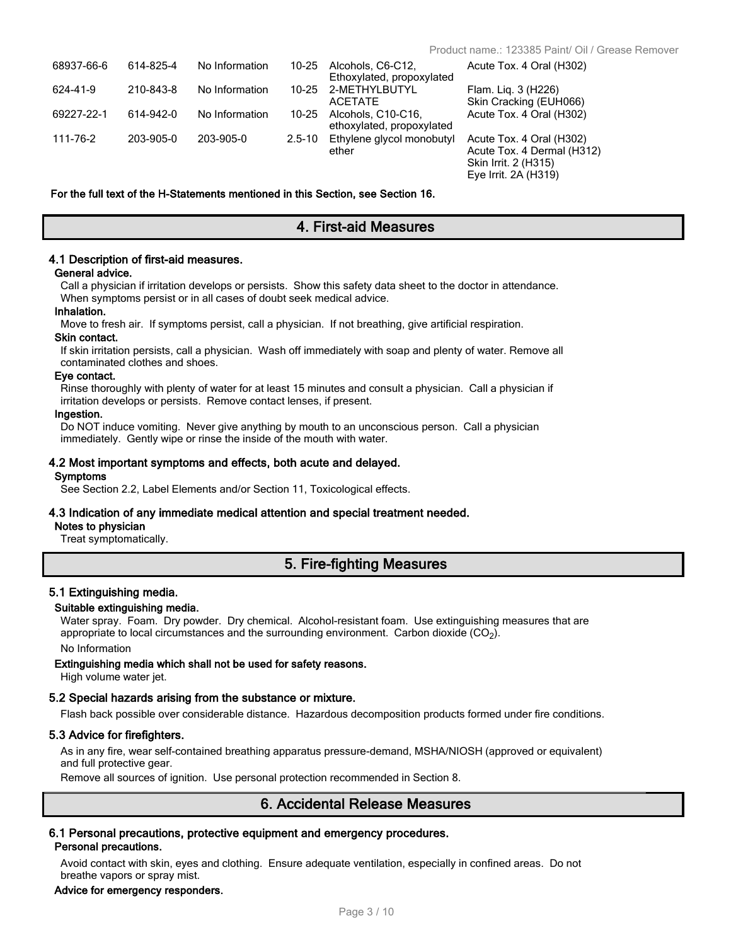Eye Irrit. 2A (H319)

| 68937-66-6 | 614-825-4 | No Information | 10-25      | Alcohols, C6-C12.<br>Ethoxylated, propoxylated  | Acute Tox. 4 Oral (H302)                                                       |
|------------|-----------|----------------|------------|-------------------------------------------------|--------------------------------------------------------------------------------|
| 624-41-9   | 210-843-8 | No Information |            | 10-25 2-METHYLBUTYL<br>ACETATE                  | Flam. Liq. 3 (H226)<br>Skin Cracking (EUH066)                                  |
| 69227-22-1 | 614-942-0 | No Information | 10-25      | Alcohols, C10-C16.<br>ethoxylated, propoxylated | Acute Tox. 4 Oral (H302)                                                       |
| 111-76-2   | 203-905-0 | 203-905-0      | $2.5 - 10$ | Ethylene glycol monobutyl<br>ether              | Acute Tox. 4 Oral (H302)<br>Acute Tox. 4 Dermal (H312)<br>Skin Irrit. 2 (H315) |

#### **For the full text of the H-Statements mentioned in this Section, see Section 16.**

# **4. First-aid Measures**

### **4.1 Description of first-aid measures.**

#### **General advice.**

Call a physician if irritation develops or persists. Show this safety data sheet to the doctor in attendance. When symptoms persist or in all cases of doubt seek medical advice.

#### **Inhalation.**

Move to fresh air. If symptoms persist, call a physician. If not breathing, give artificial respiration.

#### **Skin contact.**

If skin irritation persists, call a physician. Wash off immediately with soap and plenty of water. Remove all contaminated clothes and shoes.

#### **Eye contact.**

Rinse thoroughly with plenty of water for at least 15 minutes and consult a physician. Call a physician if irritation develops or persists. Remove contact lenses, if present.

#### **Ingestion.**

Do NOT induce vomiting. Never give anything by mouth to an unconscious person. Call a physician immediately. Gently wipe or rinse the inside of the mouth with water.

#### **4.2 Most important symptoms and effects, both acute and delayed.**

#### **Symptoms**

See Section 2.2, Label Elements and/or Section 11, Toxicological effects.

# **4.3 Indication of any immediate medical attention and special treatment needed.**

# **Notes to physician**

Treat symptomatically.

# **5. Fire-fighting Measures**

# **5.1 Extinguishing media.**

#### **Suitable extinguishing media.**

Water spray. Foam. Dry powder. Dry chemical. Alcohol-resistant foam. Use extinguishing measures that are appropriate to local circumstances and the surrounding environment. Carbon dioxide (CO<sub>2</sub>). No Information

# **Extinguishing media which shall not be used for safety reasons.**

High volume water jet.

#### **5.2 Special hazards arising from the substance or mixture.**

Flash back possible over considerable distance. Hazardous decomposition products formed under fire conditions.

# **5.3 Advice for firefighters.**

As in any fire, wear self-contained breathing apparatus pressure-demand, MSHA/NIOSH (approved or equivalent) and full protective gear.

Remove all sources of ignition. Use personal protection recommended in Section 8.

# **6. Accidental Release Measures**

# **6.1 Personal precautions, protective equipment and emergency procedures. Personal precautions.**

Avoid contact with skin, eyes and clothing. Ensure adequate ventilation, especially in confined areas. Do not breathe vapors or spray mist.

#### **Advice for emergency responders.**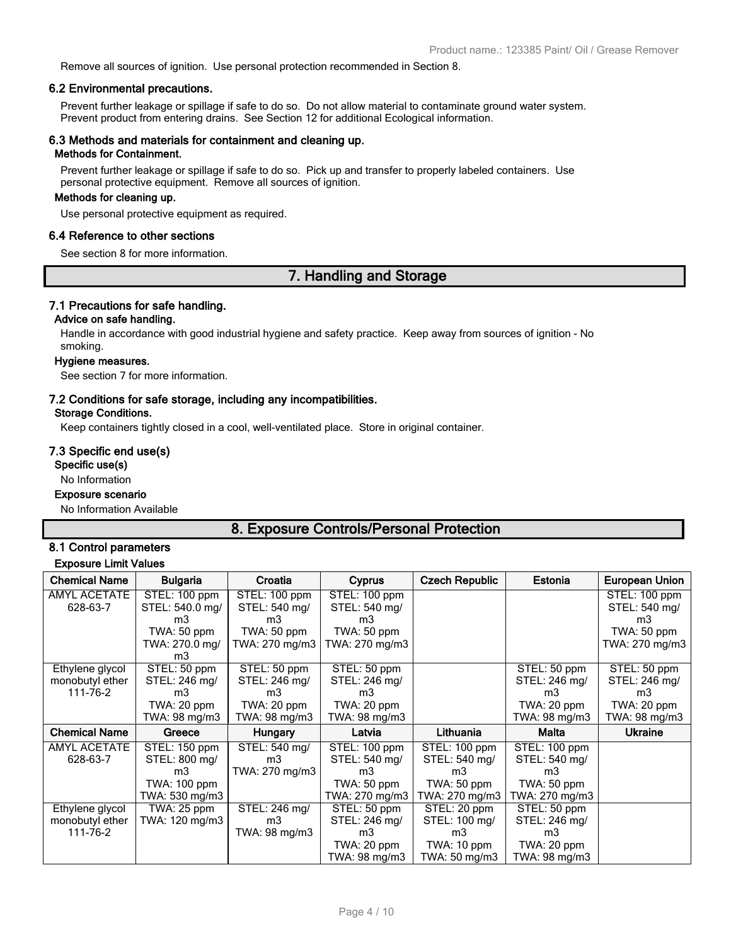Remove all sources of ignition. Use personal protection recommended in Section 8.

# **6.2 Environmental precautions.**

Prevent further leakage or spillage if safe to do so. Do not allow material to contaminate ground water system. Prevent product from entering drains. See Section 12 for additional Ecological information.

# **6.3 Methods and materials for containment and cleaning up.**

# **Methods for Containment.**

Prevent further leakage or spillage if safe to do so. Pick up and transfer to properly labeled containers. Use personal protective equipment. Remove all sources of ignition.

#### **Methods for cleaning up.**

Use personal protective equipment as required.

#### **6.4 Reference to other sections**

See section 8 for more information.

# **7. Handling and Storage**

#### **7.1 Precautions for safe handling.**

# **Advice on safe handling.**

Handle in accordance with good industrial hygiene and safety practice. Keep away from sources of ignition - No smoking.

#### **Hygiene measures.**

See section 7 for more information.

# **7.2 Conditions for safe storage, including any incompatibilities.**

# **Storage Conditions.**

Keep containers tightly closed in a cool, well-ventilated place. Store in original container.

# **7.3 Specific end use(s)**

**Specific use(s)**

#### No Information

#### **Exposure scenario**

No Information Available

# **8. Exposure Controls/Personal Protection**

# **8.1 Control parameters Exposure Limit Values**

| <b>Chemical Name</b> | <b>Bulgaria</b> | Croatia        | <b>Cyprus</b>  | <b>Czech Republic</b> | Estonia        | <b>European Union</b> |
|----------------------|-----------------|----------------|----------------|-----------------------|----------------|-----------------------|
|                      |                 |                |                |                       |                |                       |
| <b>AMYL ACETATE</b>  | STEL: 100 ppm   | STEL: 100 ppm  | STEL: 100 ppm  |                       |                | STEL: 100 ppm         |
| 628-63-7             | STEL: 540.0 mg/ | STEL: 540 mg/  | STEL: 540 mg/  |                       |                | STEL: 540 mg/         |
|                      | m3              | m3             | m3             |                       |                | m3                    |
|                      | TWA: 50 ppm     | $TWA: 50$ ppm  | TWA: 50 ppm    |                       |                | TWA: 50 ppm           |
|                      | TWA: 270.0 mg/  | TWA: 270 mg/m3 | TWA: 270 mg/m3 |                       |                | TWA: 270 mg/m3        |
|                      | m3              |                |                |                       |                |                       |
| Ethylene glycol      | STEL: 50 ppm    | STEL: 50 ppm   | STEL: 50 ppm   |                       | STEL: 50 ppm   | STEL: 50 ppm          |
| monobutyl ether      | STEL: 246 mg/   | STEL: 246 mg/  | STEL: 246 mg/  |                       | STEL: 246 mg/  | STEL: 246 mg/         |
| 111-76-2             | m3              | m3             | m3             |                       | m3             | m3                    |
|                      | TWA: 20 ppm     | TWA: 20 ppm    | TWA: 20 ppm    |                       | TWA: 20 ppm    | TWA: 20 ppm           |
|                      | TWA: 98 mg/m3   | TWA: 98 mg/m3  | TWA: 98 mg/m3  |                       | TWA: 98 mg/m3  | TWA: 98 mg/m3         |
| <b>Chemical Name</b> | Greece          | <b>Hungary</b> | Latvia         | Lithuania             | Malta          | <b>Ukraine</b>        |
| <b>AMYL ACETATE</b>  | STEL: 150 ppm   | STEL: 540 mg/  | STEL: 100 ppm  | STEL: 100 ppm         | STEL: 100 ppm  |                       |
| 628-63-7             | STEL: 800 mg/   | m3             | STEL: 540 mg/  | STEL: 540 mg/         | STEL: 540 mg/  |                       |
|                      | m3              | TWA: 270 mg/m3 | m3             | m3                    | m3             |                       |
|                      | TWA: 100 ppm    |                | TWA: 50 ppm    | TWA: 50 ppm           | TWA: 50 ppm    |                       |
|                      | TWA: 530 mg/m3  |                | TWA: 270 mg/m3 | TWA: 270 mg/m3        | TWA: 270 mg/m3 |                       |
| Ethylene glycol      | TWA: 25 ppm     | STEL: 246 mg/  | STEL: 50 ppm   | STEL: 20 ppm          | STEL: 50 ppm   |                       |
| monobutyl ether      | TWA: 120 mg/m3  | m <sub>3</sub> | STEL: 246 mg/  | STEL: 100 mg/         | STEL: 246 mg/  |                       |
| 111-76-2             |                 | TWA: 98 mg/m3  | m3             | m3                    | m3             |                       |
|                      |                 |                | TWA: 20 ppm    | TWA: 10 ppm           | TWA: 20 ppm    |                       |
|                      |                 |                | TWA: 98 mg/m3  | TWA: 50 mg/m3         | TWA: 98 mg/m3  |                       |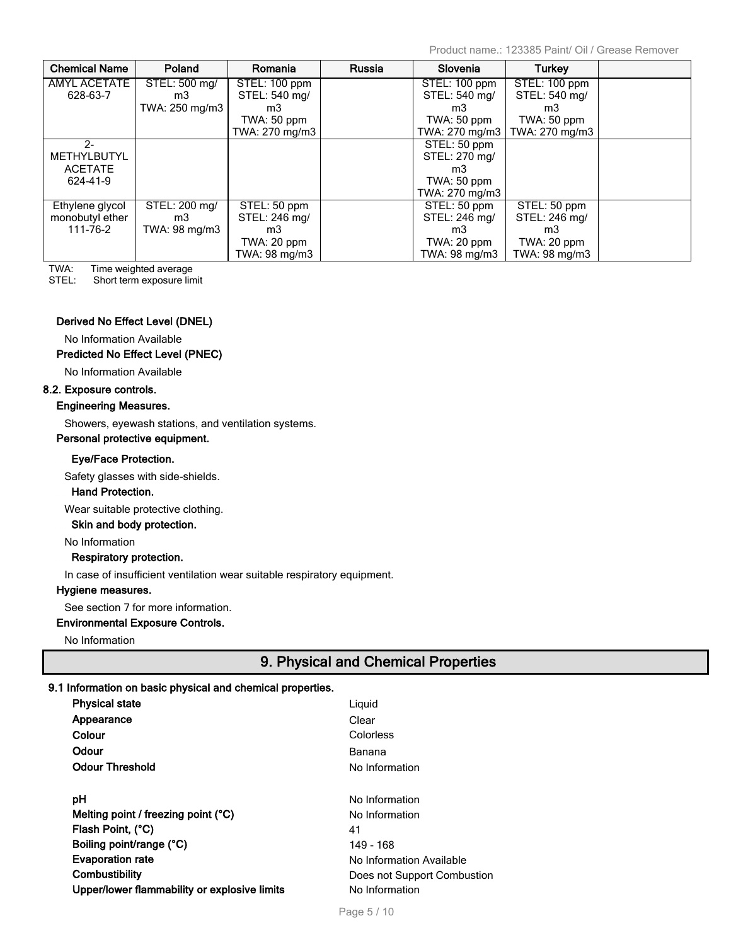Product name.: 123385 Paint/ Oil / Grease Remover

| <b>Chemical Name</b> | Poland         | Romania        | Russia | Slovenia       | <b>Turkey</b>  |  |
|----------------------|----------------|----------------|--------|----------------|----------------|--|
| AMYL ACETATE         | STEL: 500 mg/  | STEL: 100 ppm  |        | STEL: 100 ppm  | STEL: 100 ppm  |  |
| 628-63-7             | m3             | STEL: 540 mg/  |        | STEL: 540 mg/  | STEL: 540 mg/  |  |
|                      | TWA: 250 mg/m3 | m3             |        | m3             | m3             |  |
|                      |                | TWA: 50 ppm    |        | $TWA: 50$ ppm  | TWA: 50 ppm    |  |
|                      |                | TWA: 270 mg/m3 |        | TWA: 270 mg/m3 | TWA: 270 mg/m3 |  |
| $2-$                 |                |                |        | STEL: 50 ppm   |                |  |
| <b>METHYLBUTYL</b>   |                |                |        | STEL: 270 mg/  |                |  |
| <b>ACETATE</b>       |                |                |        | m3             |                |  |
| 624-41-9             |                |                |        | TWA: 50 ppm    |                |  |
|                      |                |                |        | TWA: 270 mg/m3 |                |  |
| Ethylene glycol      | STEL: 200 mg/  | STEL: 50 ppm   |        | STEL: 50 ppm   | STEL: 50 ppm   |  |
| monobutyl ether      | m3             | STEL: 246 mg/  |        | STEL: 246 mg/  | STEL: 246 mg/  |  |
| 111-76-2             | TWA: 98 mg/m3  | m3             |        | m3             | m3             |  |
|                      |                | TWA: 20 ppm    |        | TWA: 20 ppm    | TWA: 20 ppm    |  |
|                      |                | TWA: 98 mg/m3  |        | TWA: 98 mg/m3  | TWA: 98 mg/m3  |  |

TWA: Time weighted average

STEL: Short term exposure limit

# **Derived No Effect Level (DNEL)**

No Information Available

# **Predicted No Effect Level (PNEC)**

No Information Available

# **8.2. Exposure controls.**

# **Engineering Measures.**

Showers, eyewash stations, and ventilation systems.

# **Personal protective equipment.**

# **Eye/Face Protection.**

Safety glasses with side-shields.

# **Hand Protection.**

Wear suitable protective clothing.

# **Skin and body protection.**

No Information

# **Respiratory protection.**

In case of insufficient ventilation wear suitable respiratory equipment.

# **Hygiene measures.**

See section 7 for more information.

# **Environmental Exposure Controls.**

No Information

# **9. Physical and Chemical Properties**

# **9.1 Information on basic physical and chemical properties.**

| <b>Physical state</b>                        | Liguid                      |
|----------------------------------------------|-----------------------------|
| Appearance                                   | Clear                       |
| Colour                                       | Colorless                   |
| Odour                                        | Banana                      |
| <b>Odour Threshold</b>                       | No Information              |
|                                              |                             |
| рH                                           | No Information              |
| Melting point / freezing point $(^{\circ}C)$ | No Information              |
| Flash Point, (°C)                            | 41                          |
| Boiling point/range (°C)                     | 149 - 168                   |
| <b>Evaporation rate</b>                      | No Information Available    |
| Combustibility                               | Does not Support Combustion |
| Upper/lower flammability or explosive limits | No Information              |
|                                              |                             |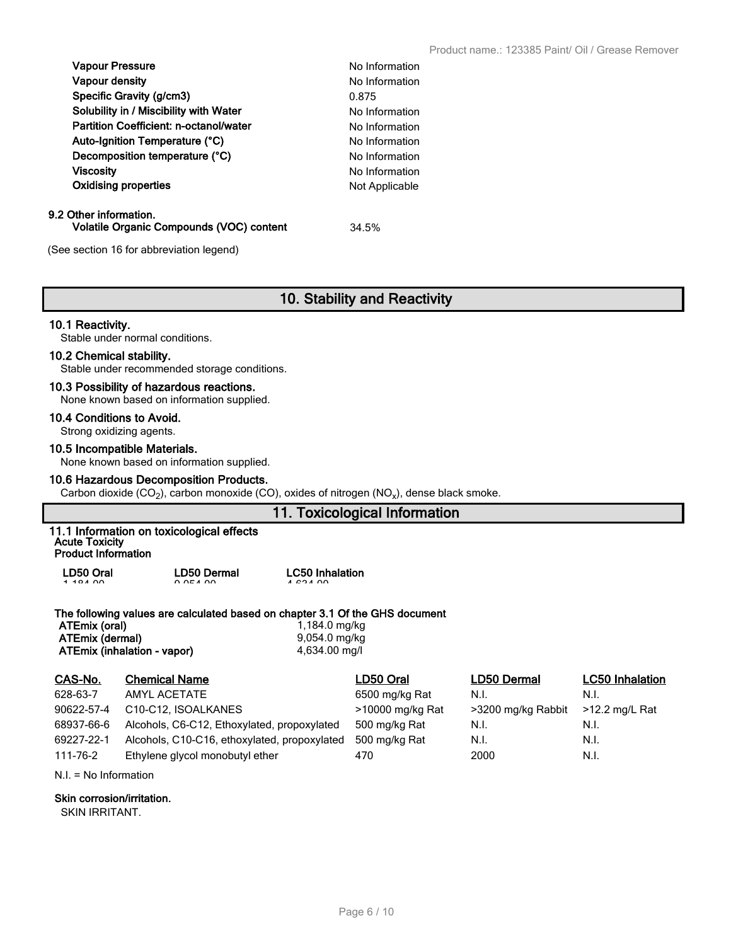| <b>Vapour Pressure</b>                        | No Information |
|-----------------------------------------------|----------------|
| <b>Vapour density</b>                         | No Information |
| Specific Gravity (g/cm3)                      | 0.875          |
| Solubility in / Miscibility with Water        | No Information |
| <b>Partition Coefficient: n-octanol/water</b> | No Information |
| Auto-Ignition Temperature (°C)                | No Information |
| Decomposition temperature (°C)                | No Information |
| <b>Viscosity</b>                              | No Information |
| <b>Oxidising properties</b>                   | Not Applicable |
| Other information.                            |                |

#### $9.2$ **Volatile Organic Compounds (VOC) content** 34.5%

(See section 16 for abbreviation legend)

# **10. Stability and Reactivity**

# **10.1 Reactivity.**

Stable under normal conditions.

# **10.2 Chemical stability.**

Stable under recommended storage conditions.

# **10.3 Possibility of hazardous reactions.**

None known based on information supplied.

# **10.4 Conditions to Avoid.**

Strong oxidizing agents.

# **10.5 Incompatible Materials.**

None known based on information supplied.

# **10.6 Hazardous Decomposition Products.**

Carbon dioxide (CO<sub>2</sub>), carbon monoxide (CO), oxides of nitrogen (NO<sub>x</sub>), dense black smoke.

# **11. Toxicological Information**

|                            | 11.1 Information on toxicological effects |
|----------------------------|-------------------------------------------|
| <b>Acute Toxicity</b>      |                                           |
| <b>Product Information</b> |                                           |

| LD50 Oral | <b>LD50 Dermal</b> | <b>LC50 Inhalation</b> |
|-----------|--------------------|------------------------|
| 1.10100   | 0.05100            | 102100                 |

# **The following values are calculated based on chapter 3.1 Of the GHS document**

**ATEmix (oral)** 1,184.0 mg/kg<br> **ATEmix (dermal)** 1,184.0 mg/kg **ATEmix (dermal)** 9,054.0 mg/kg<br>**ATEmix (inhalation - vapor)** 4,634.00 mg/l **ATEmix (inhalation - vapor)** 

| CAS-No.    | <b>Chemical Name</b>                          | LD50 Oral        | LD50 Dermal        | <b>LC50 Inhalation</b> |
|------------|-----------------------------------------------|------------------|--------------------|------------------------|
| 628-63-7   | AMYL ACETATE                                  | 6500 mg/kg Rat   | N.I.               | N.I.                   |
| 90622-57-4 | C <sub>10</sub> -C <sub>12</sub> . ISOALKANES | >10000 mg/kg Rat | >3200 mg/kg Rabbit | $>12.2$ mg/L Rat       |
| 68937-66-6 | Alcohols, C6-C12, Ethoxylated, propoxylated   | 500 mg/kg Rat    | N.I.               | N.I.                   |
| 69227-22-1 | Alcohols, C10-C16, ethoxylated, propoxylated  | 500 mg/kg Rat    | N.I.               | N.I.                   |
| 111-76-2   | Ethylene glycol monobutyl ether               | 470              | 2000               | N.I.                   |

N.I. = No Information

# **Skin corrosion/irritation.**

SKIN IRRITANT.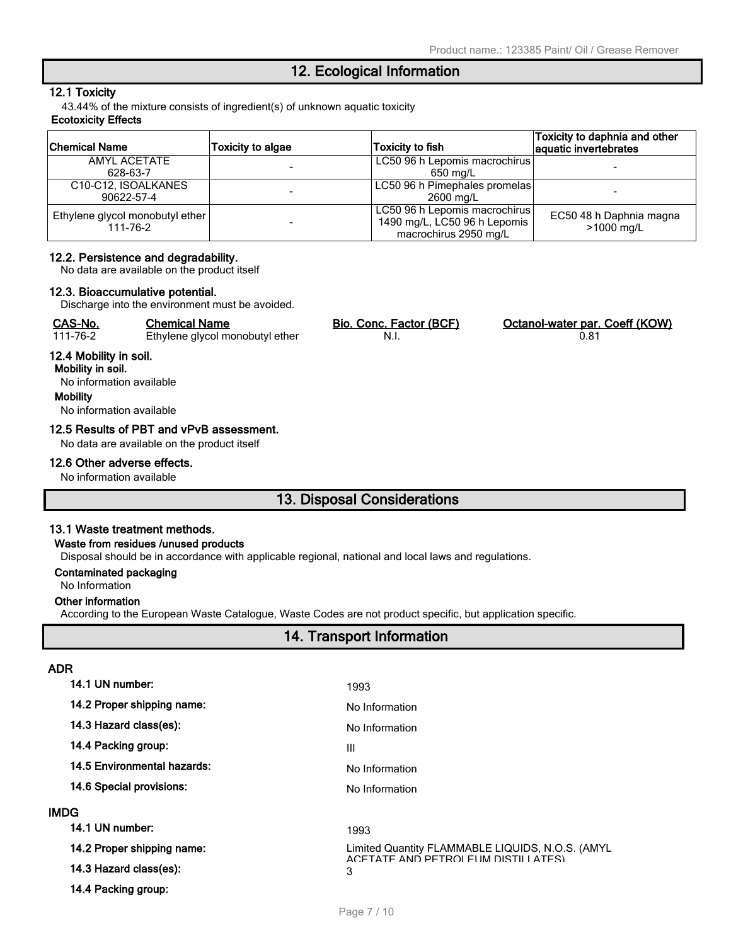# **12. Ecological Information**

# **12.1 Toxicity**

43.44% of the mixture consists of ingredient(s) of unknown aquatic toxicity

# **Ecotoxicity Effects**

| <b>Chemical Name</b>            | <b>Toxicity to algae</b> | <b>Toxicity to fish</b>       | Toxicity to daphnia and other<br>aquatic invertebrates |
|---------------------------------|--------------------------|-------------------------------|--------------------------------------------------------|
| AMYL ACETATE                    |                          | LC50 96 h Lepomis macrochirus |                                                        |
| 628-63-7                        |                          | 650 mg/L                      |                                                        |
| C10-C12, ISOALKANES             |                          | LC50 96 h Pimephales promelas |                                                        |
| 90622-57-4                      |                          | 2600 mg/L                     |                                                        |
| Ethylene glycol monobutyl ether |                          | LC50 96 h Lepomis macrochirus | EC50 48 h Daphnia magna                                |
| 111-76-2                        |                          | 1490 mg/L, LC50 96 h Lepomis  | >1000 mg/L                                             |
|                                 |                          | macrochirus 2950 mg/L         |                                                        |

# **12.2. Persistence and degradability.**

No data are available on the product itself

#### **12.3. Bioaccumulative potential.**

Discharge into the environment must be avoided.

| CAS-No.  | Chemical Name                   | Bio. Conc. Factor (BCF) | Octanol-water par. Coeff (KOW) |
|----------|---------------------------------|-------------------------|--------------------------------|
| 111-76-2 | Ethylene glycol monobutyl ether |                         |                                |

# **12.4 Mobility in soil.**

**Mobility in soil.** No information available **Mobility** No information available

# **12.5 Results of PBT and vPvB assessment.**

No data are available on the product itself

#### **12.6 Other adverse effects.**

No information available

# **13. Disposal Considerations**

# **13.1 Waste treatment methods.**

#### **Waste from residues /unused products**

Disposal should be in accordance with applicable regional, national and local laws and regulations.

# **Contaminated packaging**

No Information

**ADR**

#### **Other information**

According to the European Waste Catalogue, Waste Codes are not product specific, but application specific.

# **14. Transport Information**

| 14.1 UN number:             | 1993                                                                                    |
|-----------------------------|-----------------------------------------------------------------------------------------|
| 14.2 Proper shipping name:  | No Information                                                                          |
| 14.3 Hazard class(es):      | No Information                                                                          |
| 14.4 Packing group:         | Ш                                                                                       |
| 14.5 Environmental hazards: | No Information                                                                          |
| 14.6 Special provisions:    | No Information                                                                          |
| IMDG                        |                                                                                         |
| 14.1 UN number:             | 1993                                                                                    |
| 14.2 Proper shipping name:  | Limited Quantity FLAMMABLE LIQUIDS, N.O.S. (AMYL<br>ACETATE AND PETROLELIM DISTILLATES) |
| 14.3 Hazard class(es):      | 3                                                                                       |
| 14.4 Packing group:         |                                                                                         |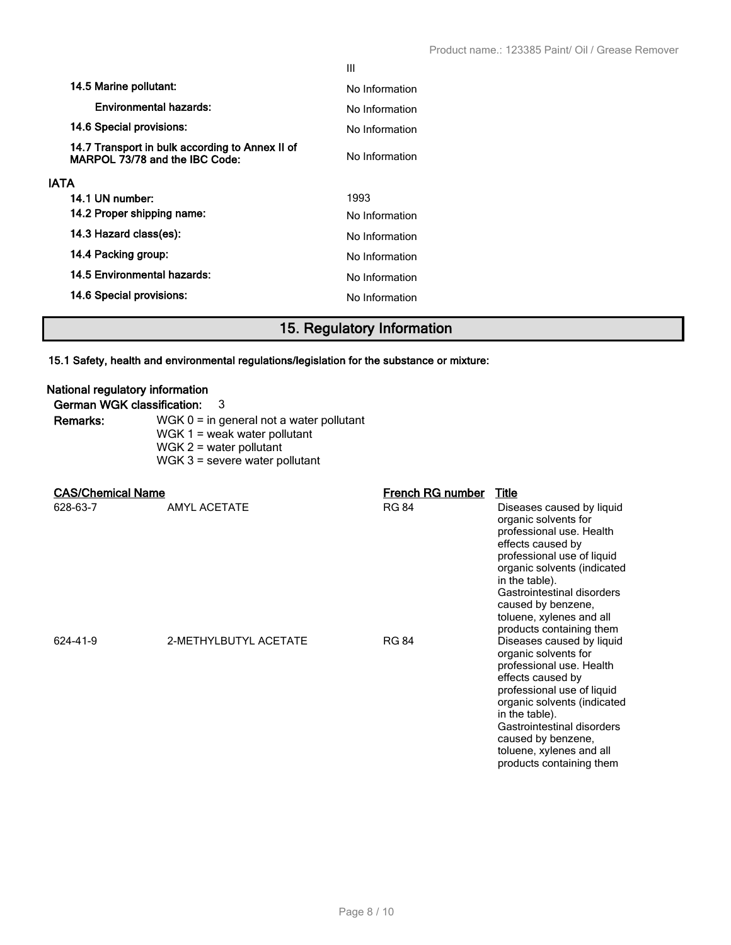|             |                                                                                   | Ш              |
|-------------|-----------------------------------------------------------------------------------|----------------|
|             | 14.5 Marine pollutant:                                                            | No Information |
|             | Environmental hazards:                                                            | No Information |
|             | 14.6 Special provisions:                                                          | No Information |
|             | 14.7 Transport in bulk according to Annex II of<br>MARPOL 73/78 and the IBC Code: | No Information |
| <b>IATA</b> |                                                                                   |                |
|             | 14.1 UN number:                                                                   | 1993           |
|             | 14.2 Proper shipping name:                                                        | No Information |
|             | 14.3 Hazard class(es):                                                            | No Information |
|             | 14.4 Packing group:                                                               | No Information |
|             | 14.5 Environmental hazards:                                                       | No Information |
|             | 14.6 Special provisions:                                                          | No Information |
|             |                                                                                   |                |

# **15. Regulatory Information**

# **15.1 Safety, health and environmental regulations/legislation for the substance or mixture:**

# **National regulatory information**

| German WGK classification: | -3                                         |
|----------------------------|--------------------------------------------|
| Remarks:                   | WGK $0 =$ in general not a water pollutant |
|                            | WGK $1$ = weak water pollutant             |
|                            | WGK $2$ = water pollutant                  |
|                            | $WGK$ 3 = severe water pollutant           |

# **CAS/Chemical Name French RG number Title**

# AMYL ACETATE **Example 2020** RG 84 Diseases caused by liquid organic solvents for professional use. Health effects caused by professional use of liquid organic solvents (indicated in the table). Gastrointestinal disorders caused by benzene, toluene, xylenes and all products containing them 624-41-9 2-METHYLBUTYL ACETATE RG 84 Diseases caused by liquid organic solvents for professional use. Health effects caused by professional use of liquid organic solvents (indicated in the table). Gastrointestinal disorders caused by benzene, toluene, xylenes and all products containing them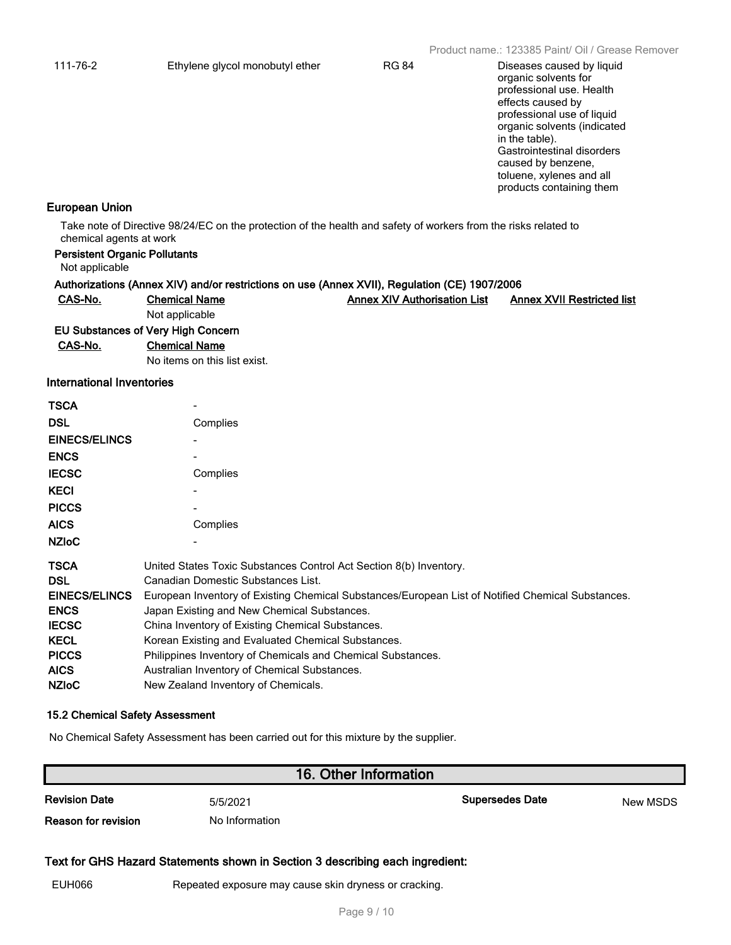organic solvents for professional use. Health effects caused by professional use of liquid organic solvents (indicated in the table). Gastrointestinal disorders caused by benzene, toluene, xylenes and all products containing them

# **European Union**

Take note of Directive 98/24/EC on the protection of the health and safety of workers from the risks related to chemical agents at work

| Not applicable            | <b>Persistent Organic Pollutants</b> |                                                                                               |                                   |
|---------------------------|--------------------------------------|-----------------------------------------------------------------------------------------------|-----------------------------------|
|                           |                                      | Authorizations (Annex XIV) and/or restrictions on use (Annex XVII), Regulation (CE) 1907/2006 |                                   |
| CAS-No.                   | <b>Chemical Name</b>                 | <b>Annex XIV Authorisation List</b>                                                           | <b>Annex XVII Restricted list</b> |
|                           | Not applicable                       |                                                                                               |                                   |
|                           | EU Substances of Very High Concern   |                                                                                               |                                   |
| CAS-No.                   | <b>Chemical Name</b>                 |                                                                                               |                                   |
|                           | No items on this list exist.         |                                                                                               |                                   |
| International Inventories |                                      |                                                                                               |                                   |
| <b>TSCA</b>               | $\overline{\phantom{0}}$             |                                                                                               |                                   |
| ---                       |                                      |                                                                                               |                                   |

| <b>DSL</b>           | Complies                                                                                          |
|----------------------|---------------------------------------------------------------------------------------------------|
| <b>EINECS/ELINCS</b> |                                                                                                   |
| <b>ENCS</b>          |                                                                                                   |
| <b>IECSC</b>         | Complies                                                                                          |
| <b>KECI</b>          |                                                                                                   |
| <b>PICCS</b>         |                                                                                                   |
| <b>AICS</b>          | Complies                                                                                          |
| <b>NZIOC</b>         |                                                                                                   |
| <b>TSCA</b>          | United States Toxic Substances Control Act Section 8(b) Inventory.                                |
| <b>DSL</b>           | Canadian Domestic Substances List.                                                                |
| <b>EINECS/ELINCS</b> | European Inventory of Existing Chemical Substances/European List of Notified Chemical Substances. |
| <b>ENCS</b>          | Japan Existing and New Chemical Substances.                                                       |
| <b>IECSC</b>         | China Inventory of Existing Chemical Substances.                                                  |
| <b>KECL</b>          | Korean Existing and Evaluated Chemical Substances.                                                |
| <b>PICCS</b>         | Philippines Inventory of Chemicals and Chemical Substances.                                       |
| <b>AICS</b>          | Australian Inventory of Chemical Substances.                                                      |
| <b>NZIOC</b>         | New Zealand Inventory of Chemicals.                                                               |

#### **15.2 Chemical Safety Assessment**

No Chemical Safety Assessment has been carried out for this mixture by the supplier.

# **16. Other Information**

**Reason for revision** No Information

**Revision Date S**/5/2021 **Supersedes Date Supersedes Date New MSDS** 

# **Text for GHS Hazard Statements shown in Section 3 describing each ingredient:**

EUH066 Repeated exposure may cause skin dryness or cracking.